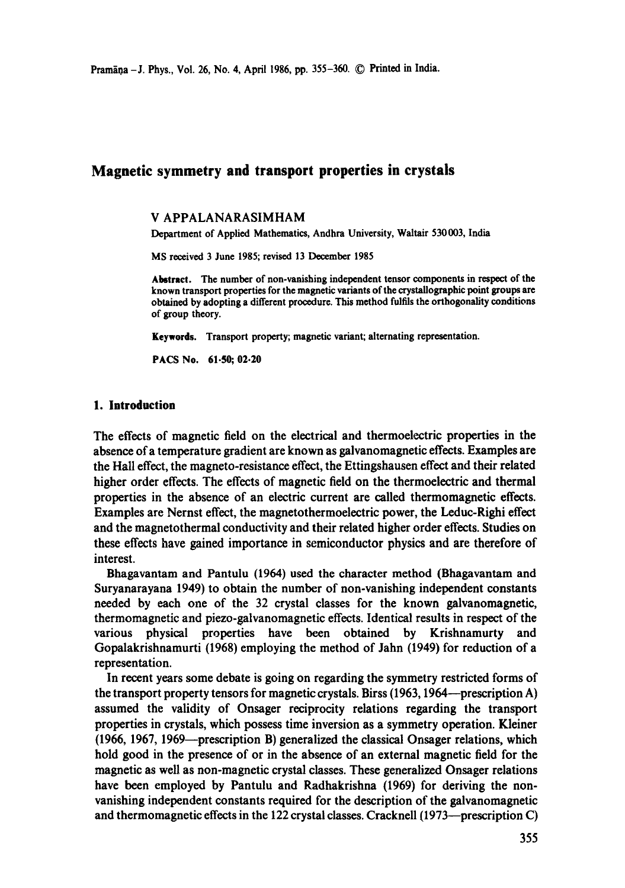# **Magnetic symmetry and transport properties in crystals**

#### V APPALANARASIMHAM

Department of Applied Mathematics, Andhra University, Waltair 530003, India

MS received 3 June 1985; revised 13 December 1985

**Abstract.** The number of non-vanishing independent tensor components in respect of the known transport properties for the magnetic variants of the crystallographic point groups are obtained by adopting a different procedure. This method fulfils the orthogonality conditions of group theory.

Keywords. Transport property; magnetic variant; alternating representation.

PACS No. 61-50; 02-20

#### **1. Introduction**

The effects of magnetic field on the electrical and thermoelectric properties in the absence of a temperature gradient are known as galvanomagnetie effects. Examples are the Hall effect, the magneto-resistance effect, the Ettingshausen effect and their related higher order effects. The effects of magnetic field on the thermoelectric and thermal properties in the absence of an electric current are called thermomagnetic effects. Examples are Nernst effect, the magnetothermoelectric power, the Leduc-Righi effect and the magnetothermal conductivity and their related higher order effects. Studies on these effects have gained importance in semiconductor physics and are therefore of interest.

Bhagavantam and Pantulu (1964) used the character method (Bhagavantam and Suryanarayana 1949) to obtain the number of non-vanishing independent constants needed by each one of the 32 crystal classes for the known galvanomagnetic, thermomagnetic and piezo-galvanomagnetic effects. Identical results in respect of the various physical properties have been obtained by Krishnamurty and Gopalakrishnamurti (1968) employing the method of Jahn (1949) for reduction of a representation.

In recent years some debate is going on regarding the symmetry restricted forms of the transport property tensors for magnetic crystals. Birss (1963, 1964—prescription A) assumed the validity of Onsager reciprocity relations regarding the transport properties in crystals, which possess time inversion as a symmetry operation. Kleiner (1966, 1967, 1969--prescription B) generalized the classical Onsager relations, which hold good in the presence of or in the absence of an external magnetic field for the magnetic as well as non-magnetic crystal classes. These generalized Onsager relations have been employed by Pantulu and Radhakrishna (1969) for deriving the nonvanishing independent constants required for the description of the galvanomagnetic and thermomagnetic effects in the 122 crystal classes. Cracknell (1973—prescription C)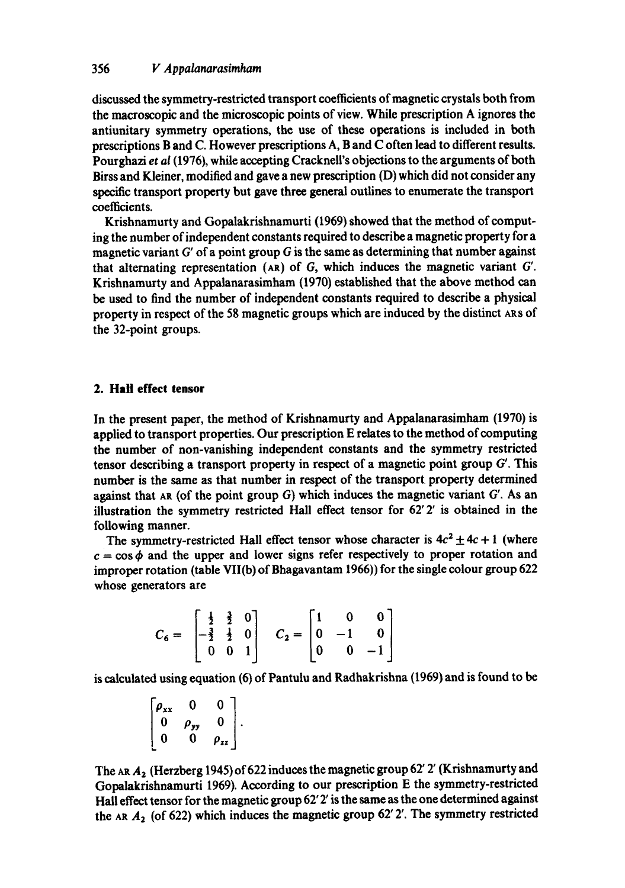# 356 *V Appalanarasimham*

discussed the symmetry-restricted transport coefficients of magnetic crystals both from the macroscopic and the microscopic points of view. While prescription A ignores the antiunitary symmetry operations, the use of these operations is included in both prescriptions B and C. However prescriptions A, B and C often lead to different results. Pourghazi *et al* (1976), while accepting Cracknell's objections to the arguments of both Birss and Kleiner, modified and gave a new prescription (D) which did not consider any specific transport property but gave three general outlines to enumerate the transport coefficients.

Krishnamurty and Gopalakrishnamurti (1969) showed that the method of computing the number of independent constants required to describe a magnetic property for a magnetic variant  $G'$  of a point group  $G$  is the same as determining that number against that alternating representation (AR) of  $G$ , which induces the magnetic variant  $G'$ . Krishnamurty and Appalanarasimham (1970) established that the above method can be used to find the number of independent constants required to describe a physical property in respect of the 58 magnetic groups which are induced by the distinct ARS of the 32-point groups.

### **2. Hall effect tensor**

In the present paper, the method of Krishnamurty and Appalanarasimham (1970) is applied to transport properties. Our prescription E relates to the method of computing the number of non-vanishing independent constants and the symmetry restricted tensor describing a transport property in respect of a magnetic point group  $G'$ . This number is the same as that number in respect of the transport property determined against that AR (of the point group  $G$ ) which induces the magnetic variant  $G'$ . As an illustration the symmetry restricted Hall effect tensor for  $62'2'$  is obtained in the following manner.

The symmetry-restricted Hall effect tensor whose character is  $4c^2 \pm 4c + 1$  (where  $c = \cos \phi$  and the upper and lower signs refer respectively to proper rotation and improper rotation (table VII(b) of Bhagavantam 1966)) for the single colour group 622 whose generators are

$$
C_6 = \begin{bmatrix} \frac{1}{2} & \frac{3}{2} & 0 \\ -\frac{3}{2} & \frac{1}{2} & 0 \\ 0 & 0 & 1 \end{bmatrix} \quad C_2 = \begin{bmatrix} 1 & 0 & 0 \\ 0 & -1 & 0 \\ 0 & 0 & -1 \end{bmatrix}
$$

is calculated using equation (6) of Pantulu and Radhakrishna (1969) and is found to be

$$
\begin{bmatrix} \rho_{xx} & 0 & 0 \\ 0 & \rho_{yy} & 0 \\ 0 & 0 & \rho_{zz} \end{bmatrix}.
$$

The AR  $A_2$  (Herzberg 1945) of 622 induces the magnetic group 62' 2' (Krishnamurty and Gopalakrishnamurti 1969). According to our prescription E the symmetry-restricted Hall effect tensor for the magnetic group  $62'$   $2'$  is the same as the one determined against the AR  $A_2$  (of 622) which induces the magnetic group 62' 2'. The symmetry restricted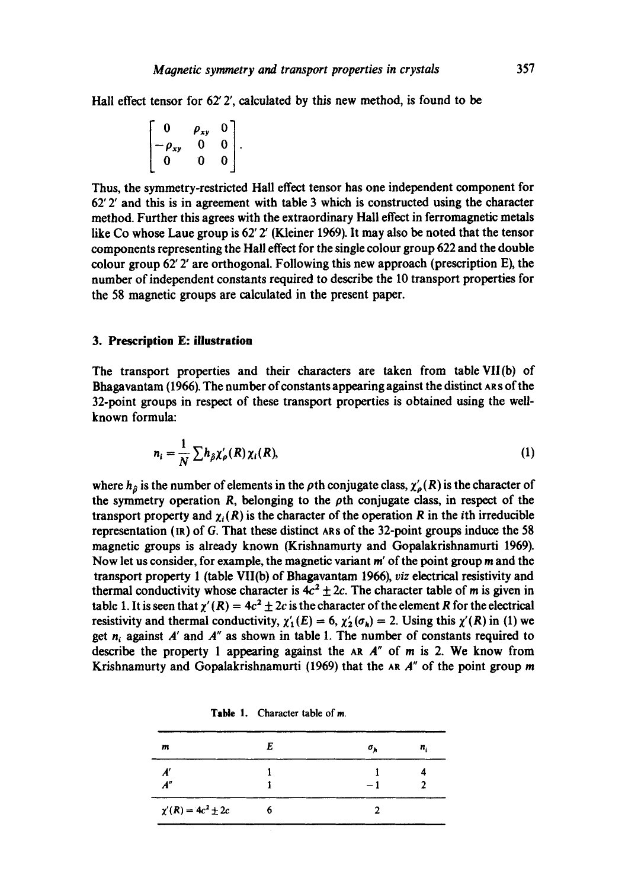Hall effect tensor for 62' 2', calculated by this new method, is found to be

$$
\begin{bmatrix} 0 & \rho_{xy} & 0 \\ -\rho_{xy} & 0 & 0 \\ 0 & 0 & 0 \end{bmatrix}.
$$

Thus, the symmetry-restricted Hall effect tensor has one independent component for  $62'$  2' and this is in agreement with table 3 which is constructed using the character method. Further this agrees with the extraordinary Hall effect in ferromagnetic metals like Co whose Laue group is  $62'$  2' (Kleiner 1969). It may also be noted that the tensor components representing the Hall effect for the single colour group 622 and the double colour group 62' 2' are orthogonal. Following this new approach (prescription E), the number of independent constants required to describe the 10 transport properties for the 58 magnetic groups are calculated in the present paper.

## **3. Prescription E: illustration**

The transport properties and their characters are taken from table VII(b) of Bhagavantam (1966). The number of constants appearing against the distinct AR S of the 32-point groups in respect of these transport properties is obtained using the wellknown formula:

$$
n_i = \frac{1}{N} \sum h_{\hat{\rho}} \chi_{\rho}'(R) \chi_i(R), \tag{1}
$$

where  $h_{\hat{\theta}}$  is the number of elements in the  $\rho$ th conjugate class,  $\chi'_{\rho}(R)$  is the character of the symmetry operation R, belonging to the  $\rho$ th conjugate class, in respect of the transport property and  $\gamma$ , (R) is the character of the operation R in the *i*th irreducible representation  $(\text{IR})$  of G. That these distinct ARs of the 32-point groups induce the 58 magnetic groups is already known (Krishnamurty and Gopalakrishnamurti 1969). Now let us consider, for example, the magnetic variant  $m'$  of the point group  $m$  and the transport property 1 (table VII(b) of Bhagavantam 1966), viz electrical resistivity and thermal conductivity whose character is  $4c^2 \pm 2c$ . The character table of m is given in table 1. It is seen that  $\chi'(R) = 4c^2 \pm 2c$  is the character of the element R for the electrical resistivity and thermal conductivity,  $\chi'_{1}(E) = 6$ ,  $\chi'_{2}(\sigma_{h}) = 2$ . Using this  $\chi'(R)$  in (1) we get  $n_i$  against A' and A" as shown in table 1. The number of constants required to describe the property 1 appearing against the AR  $A''$  of m is 2. We know from Krishnamurty and Gopalakrishnamurti (1969) that the AR  $A''$  of the point group m

| m                        | E | $\sigma_h$ | n. |
|--------------------------|---|------------|----|
|                          |   |            |    |
| A''                      |   | - 1        |    |
| $\chi'(R) = 4c^2 \pm 2c$ | 6 |            |    |

Table 1. Character table of m.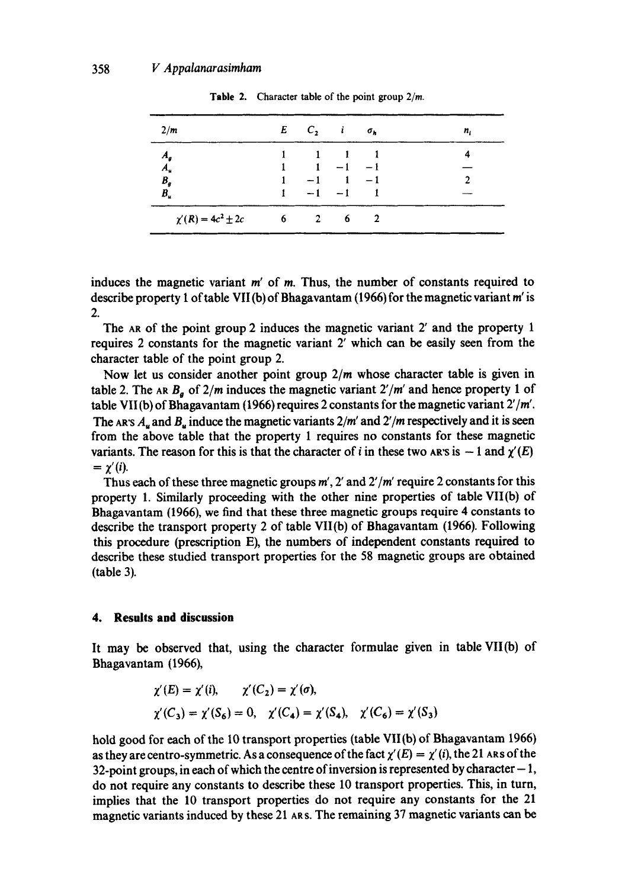| 2/m                      | $E \quad C_2 \quad i \quad \sigma_h$ |                                             |     | n, |
|--------------------------|--------------------------------------|---------------------------------------------|-----|----|
| $\boldsymbol{A}_q$       |                                      | $\begin{array}{cccc} 1 & 1 & 1 \end{array}$ |     |    |
| $\overline{A}_{\mu}$     | $1 - 1 - 1$                          |                                             |     |    |
| $B_g\,$                  | $1 -1$ $1 -1$                        |                                             |     |    |
| $B_{u}$                  |                                      | $-1$ $-1$ $1$                               |     |    |
| $\chi'(R) = 4c^2 \pm 2c$ | $6\qquad 2$                          |                                             | 6 2 |    |

Table 2. Character table of the point group  $2/m$ .

induces the magnetic variant  $m'$  of  $m$ . Thus, the number of constants required to describe property 1 of table VII(b) of Bhagavantam (1966) for the magnetic variant m' is 2.

The AR of the point group 2 induces the magnetic variant 2' and the property 1 requires 2 constants for the magnetic variant 2' which can be easily seen from the character table of the point group 2.

Now let us consider another point group *2/m* whose character table is given in table 2. The AR  $B_a$  of  $2/m$  induces the magnetic variant  $2'/m'$  and hence property 1 of table VII (b) of Bhagavantam (1966) requires 2 constants for the magnetic variant *2'/m'.*  The AR's  $A_u$  and  $B_u$  induce the magnetic variants  $2/m'$  and  $2'/m$  respectively and it is seen from the above table that the property 1 requires no constants for these magnetic variants. The reason for this is that the character of i in these two AR's is  $-1$  and  $\chi'(E)$  $= \gamma'(i)$ .

Thus each of these three magnetic groups m', 2' and *2'/ra'* require 2 constants for this property 1. Similarly proceeding with the other nine properties of table VII(b) of Bhagavantam (1966), we find that these three magnetic groups require 4 constants to describe the transport property 2 of table VII(b) of Bhagavantam (1966). Following this procedure (prescription E), the numbers of independent constants required to describe these studied transport properties for the 58 magnetic groups are obtained (table 3).

## **4. Results and discussion**

It may be observed that, using the character formulae given in table VII(b) of Bhagavantam (1966),

$$
\begin{aligned} \chi'(E) &= \chi'(i), & \chi'(C_2) &= \chi'(\sigma), \\ \chi'(C_3) &= \chi'(S_6) = 0, & \chi'(C_4) &= \chi'(S_4), & \chi'(C_6) &= \chi'(S_3) \end{aligned}
$$

hold good for each of the 10 transport properties (table VII(b) of Bhagavantam 1966) as they are centro-symmetric. As a consequence of the fact  $\chi'(E) = \chi'(i)$ , the 21 ARS of the 32-point groups, in each of which the centre of inversion is represented by character  $-1$ , do not require any constants to describe these 10 transport properties. This, in turn, implies that the 10 transport properties do not require any constants for the 21 magnetic variants induced by these 21 ARS. The remaining 37 magnetic variants can be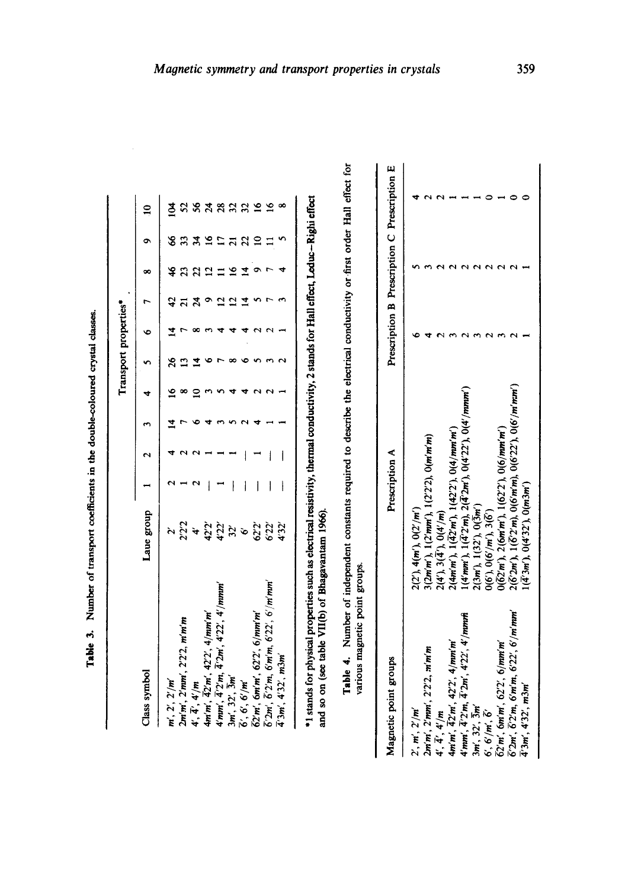|                                                                          |            |   |   |   | Transport properties* |  |    |                |                 |
|--------------------------------------------------------------------------|------------|---|---|---|-----------------------|--|----|----------------|-----------------|
| Class symbol                                                             | Laue group |   |   | ÷ |                       |  | ∞  | ۰              | $\mathbf{a}$    |
| m', 2', 2'/m                                                             |            |   |   |   |                       |  | \$ | 8              | ℥               |
| 2m'm', 2'mm', 2'2'2, m'm'm                                               | 222        |   |   |   |                       |  |    |                | 25              |
| 4', 4', 4'/m                                                             | $\ddot{ }$ |   |   |   |                       |  |    |                | S6              |
| 4m'm', 42'm', 42'2', 4/mm'm'                                             | 42'2'      |   |   |   |                       |  |    |                | $\overline{24}$ |
| $4'mm', \bar{4}'2'm, \bar{4}'2m', 4'22', 4'/mmm'$                        | 4'22'      |   |   |   |                       |  |    |                | 28              |
| 3m', 32', 3m'                                                            | 32'        |   |   |   |                       |  |    |                | $\overline{32}$ |
| $\overline{6}'$ , $6'$ , $6'/m'$                                         | Ò          |   |   |   |                       |  |    | $\overline{c}$ | 32              |
| 62'm', 6m'm', 62'2', 6/mm'm'                                             | 622        |   |   |   |                       |  |    |                | $\tilde{a}$     |
| $\overline{6}'2m'$ , $\overline{6}'2'm$ , $6'm'm$ , $6'22'$ , $6'/m'mm'$ | 6'22'      |   |   |   |                       |  |    |                | $\tilde{a}$     |
| $\bar{4}'3m'$ , $4'32'$ , $m3m'$                                         | 4'32'      | I | Ì |   |                       |  |    |                | œ               |

| Magnetic point groups                                                                                       | Prescription A                                                                                          |  | Prescription B Prescription C Prescription E |
|-------------------------------------------------------------------------------------------------------------|---------------------------------------------------------------------------------------------------------|--|----------------------------------------------|
| 2', m', 2'/m'                                                                                               |                                                                                                         |  |                                              |
| 2m'm', 2'mm', 2'2'2, m'm'm                                                                                  | $2(2'), 4(m'), 0(2'/m')$<br>3(2mm'), 1(2'mm'), 1(2'2'2), 0(m'm'm)                                       |  |                                              |
|                                                                                                             |                                                                                                         |  |                                              |
| 4', 4', 4'/m<br>4m'm', 42'm', 42'2', 4/mm'm'<br>4'mm', 4'2'm, 4'2m', 4'22', 4'/mmm                          | $2(4')$ , $3(\overline{4}')$ , $0(4'/m)$<br>2(4m'm'), $1(\overline{42'}m')$ , $1(42'2')$ , $0(4/mm'm')$ |  |                                              |
|                                                                                                             | $1(4'mm'), 1(\overline{4}'2'm), 2(\overline{4}'2m'), 0(4'22'), 0(4'/mmm')$                              |  |                                              |
| $3m', 32', \bar{3}m'$                                                                                       | $2(3m)$ , $1(32)$ , $0(\overline{3}m')$                                                                 |  |                                              |
|                                                                                                             |                                                                                                         |  |                                              |
| 6', 6'/m', 6'<br>62'm', 6m'm', 62'2', 6/mm'm'<br>6'2m', 6'2'm, 6'm'm, 6'22', 6'/m'mm'<br>4'3m', 4'32', m3m' | 0(6'), 0(6'/m'), 3(6')<br>0(62'm'), 2(6m'm'), 1(62'2'), 0(6/mm'm')                                      |  |                                              |
|                                                                                                             | $2(\overline{6'}2m')$ , $1(\overline{6'}2'm)$ , $0(6'm'm)$ , $0(6'22')$ , $0(6'/m'mm')$                 |  |                                              |
|                                                                                                             | $\left[ (\bar{4}^{\prime}3m^{\prime}), 0(4^{\prime}32^{\prime}), 0(m3m^{\prime}) \right]$               |  |                                              |